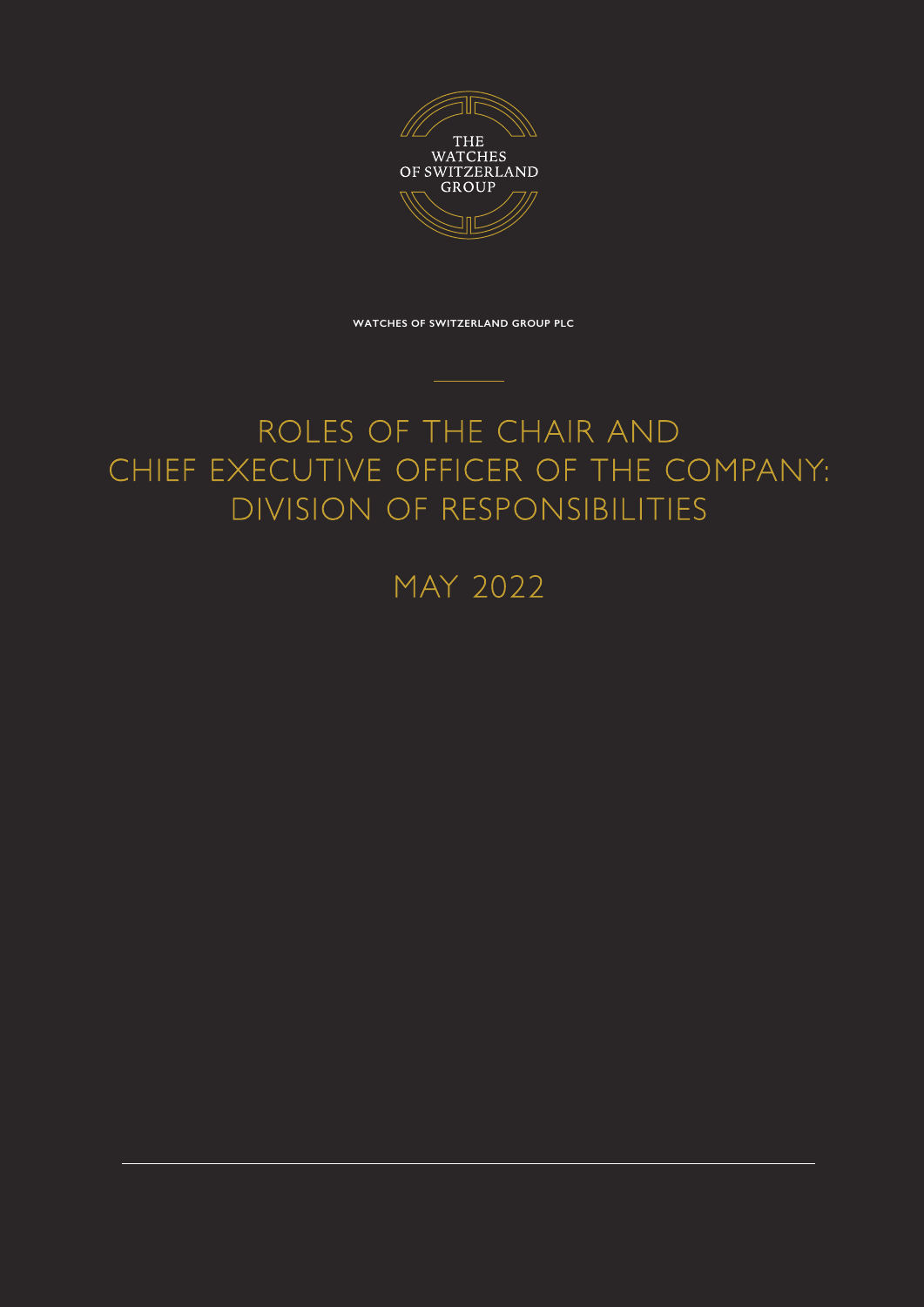

**WATCHES OF SWITZERLAND GROUP PLC**

## ROLES OF THE CHAIR AND CHIEF EXECUTIVE OFFICER OF THE COMPANY: DIVISION OF RESPONSIBILITIES

MAY 2022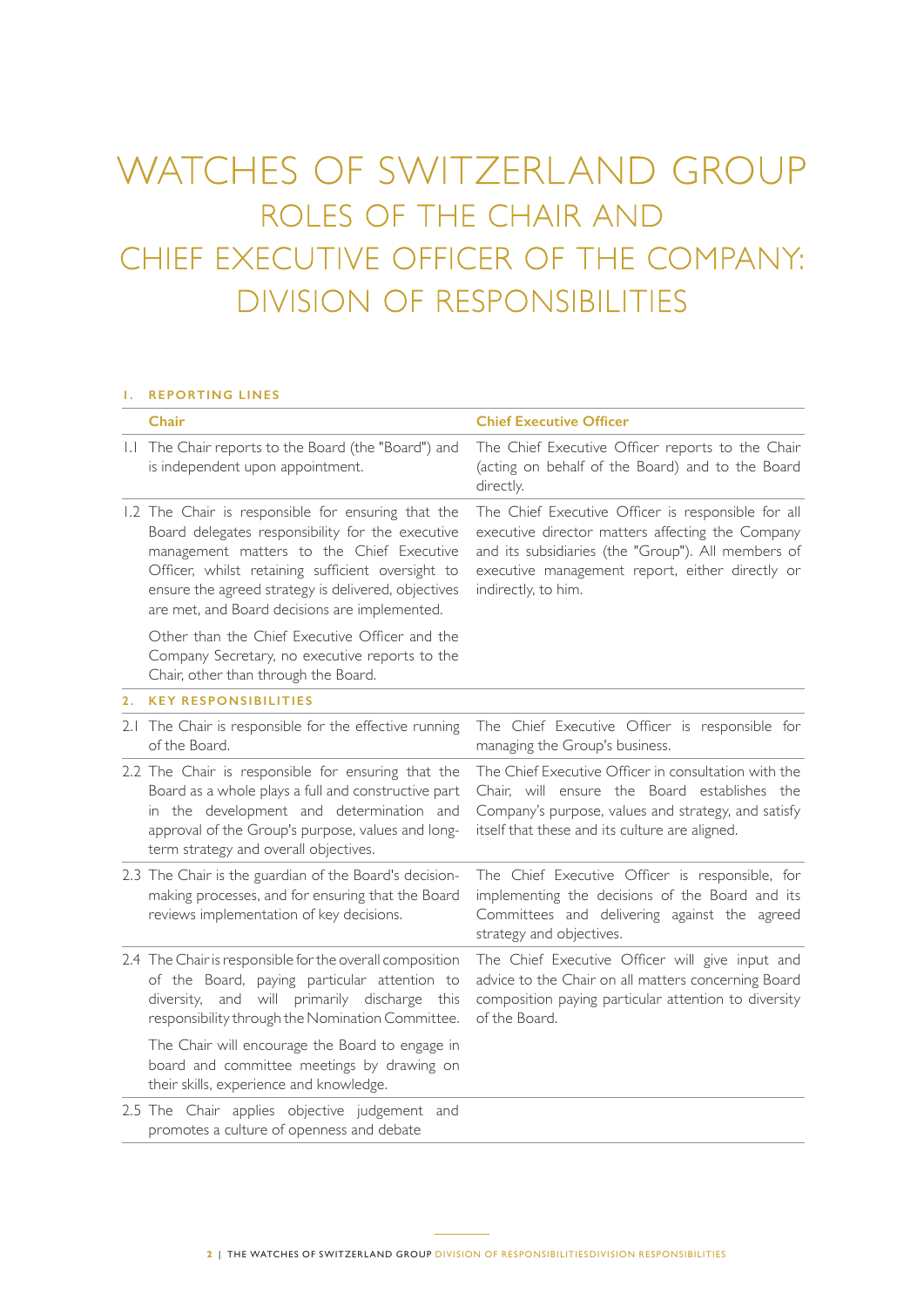# WATCHES OF SWITZERLAND GROUP ROLES OF THE CHAIR AND CHIEF EXECUTIVE OFFICER OF THE COMPANY: DIVISION OF RESPONSIBILITIES

#### **1. REPORTING LINES**

|    | Chair                                                                                                                                                                                                                                                                                                            | <b>Chief Executive Officer</b>                                                                                                                                                                                                         |
|----|------------------------------------------------------------------------------------------------------------------------------------------------------------------------------------------------------------------------------------------------------------------------------------------------------------------|----------------------------------------------------------------------------------------------------------------------------------------------------------------------------------------------------------------------------------------|
|    | 1.1 The Chair reports to the Board (the "Board") and<br>is independent upon appointment.                                                                                                                                                                                                                         | The Chief Executive Officer reports to the Chair<br>(acting on behalf of the Board) and to the Board<br>directly.                                                                                                                      |
|    | 1.2 The Chair is responsible for ensuring that the<br>Board delegates responsibility for the executive<br>management matters to the Chief Executive<br>Officer, whilst retaining sufficient oversight to<br>ensure the agreed strategy is delivered, objectives<br>are met, and Board decisions are implemented. | The Chief Executive Officer is responsible for all<br>executive director matters affecting the Company<br>and its subsidiaries (the "Group"). All members of<br>executive management report, either directly or<br>indirectly, to him. |
|    | Other than the Chief Executive Officer and the<br>Company Secretary, no executive reports to the<br>Chair, other than through the Board.                                                                                                                                                                         |                                                                                                                                                                                                                                        |
| 2. | <b>KEY RESPONSIBILITIES</b>                                                                                                                                                                                                                                                                                      |                                                                                                                                                                                                                                        |
|    | 2.1 The Chair is responsible for the effective running<br>of the Board.                                                                                                                                                                                                                                          | The Chief Executive Officer is responsible for<br>managing the Group's business.                                                                                                                                                       |
|    | 2.2 The Chair is responsible for ensuring that the<br>Board as a whole plays a full and constructive part<br>in the development and determination and<br>approval of the Group's purpose, values and long-<br>term strategy and overall objectives.                                                              | The Chief Executive Officer in consultation with the<br>Chair, will ensure the Board establishes the<br>Company's purpose, values and strategy, and satisfy<br>itself that these and its culture are aligned.                          |
|    | 2.3 The Chair is the guardian of the Board's decision-<br>making processes, and for ensuring that the Board<br>reviews implementation of key decisions.                                                                                                                                                          | The Chief Executive Officer is responsible, for<br>implementing the decisions of the Board and its<br>Committees and delivering against the agreed<br>strategy and objectives.                                                         |
|    | 2.4 The Chair is responsible for the overall composition<br>of the Board, paying particular attention to<br>diversity, and will primarily discharge this<br>responsibility through the Nomination Committee.                                                                                                     | The Chief Executive Officer will give input and<br>advice to the Chair on all matters concerning Board<br>composition paying particular attention to diversity<br>of the Board.                                                        |
|    | The Chair will encourage the Board to engage in<br>board and committee meetings by drawing on<br>their skills, experience and knowledge.                                                                                                                                                                         |                                                                                                                                                                                                                                        |
|    | 2.5 The Chair applies objective judgement and<br>promotes a culture of openness and debate                                                                                                                                                                                                                       |                                                                                                                                                                                                                                        |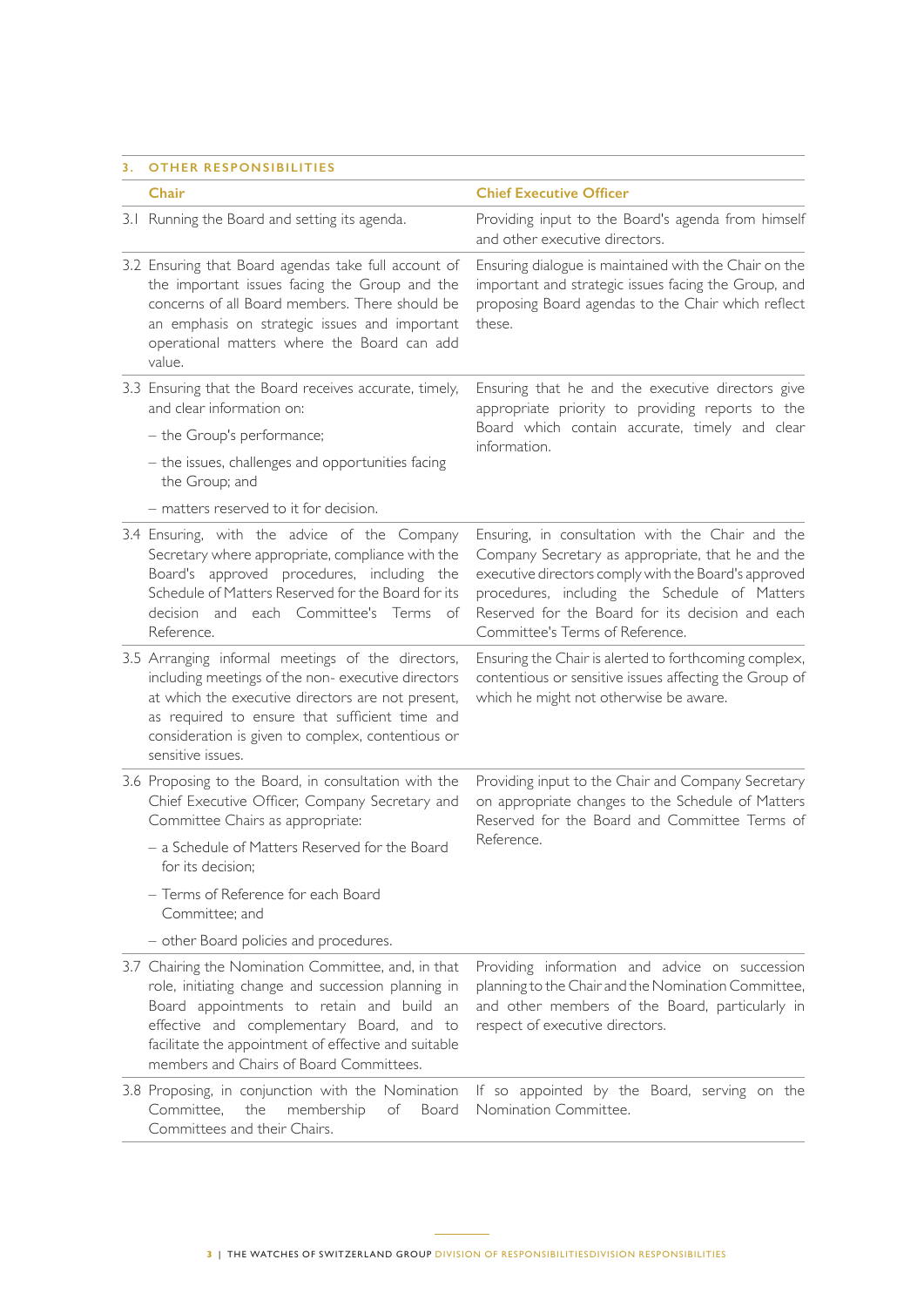#### **3. OTHER RESPONSIBILITIES**

|  | Chair                                                                                                                                                                                                                                                                                                  | <b>Chief Executive Officer</b>                                                                                                                                                                                                                                                                        |
|--|--------------------------------------------------------------------------------------------------------------------------------------------------------------------------------------------------------------------------------------------------------------------------------------------------------|-------------------------------------------------------------------------------------------------------------------------------------------------------------------------------------------------------------------------------------------------------------------------------------------------------|
|  | 3.1 Running the Board and setting its agenda.                                                                                                                                                                                                                                                          | Providing input to the Board's agenda from himself<br>and other executive directors.                                                                                                                                                                                                                  |
|  | 3.2 Ensuring that Board agendas take full account of<br>the important issues facing the Group and the<br>concerns of all Board members. There should be<br>an emphasis on strategic issues and important<br>operational matters where the Board can add<br>value.                                      | Ensuring dialogue is maintained with the Chair on the<br>important and strategic issues facing the Group, and<br>proposing Board agendas to the Chair which reflect<br>these.                                                                                                                         |
|  | 3.3 Ensuring that the Board receives accurate, timely,<br>and clear information on:                                                                                                                                                                                                                    | Ensuring that he and the executive directors give<br>appropriate priority to providing reports to the<br>Board which contain accurate, timely and clear<br>information.                                                                                                                               |
|  | - the Group's performance;                                                                                                                                                                                                                                                                             |                                                                                                                                                                                                                                                                                                       |
|  | - the issues, challenges and opportunities facing<br>the Group; and                                                                                                                                                                                                                                    |                                                                                                                                                                                                                                                                                                       |
|  | - matters reserved to it for decision.                                                                                                                                                                                                                                                                 |                                                                                                                                                                                                                                                                                                       |
|  | 3.4 Ensuring, with the advice of the Company<br>Secretary where appropriate, compliance with the<br>Board's approved procedures, including the<br>Schedule of Matters Reserved for the Board for its<br>decision and each Committee's Terms of<br>Reference.                                           | Ensuring, in consultation with the Chair and the<br>Company Secretary as appropriate, that he and the<br>executive directors comply with the Board's approved<br>procedures, including the Schedule of Matters<br>Reserved for the Board for its decision and each<br>Committee's Terms of Reference. |
|  | 3.5 Arranging informal meetings of the directors,<br>including meetings of the non-executive directors<br>at which the executive directors are not present,<br>as required to ensure that sufficient time and<br>consideration is given to complex, contentious or<br>sensitive issues.                | Ensuring the Chair is alerted to forthcoming complex,<br>contentious or sensitive issues affecting the Group of<br>which he might not otherwise be aware.                                                                                                                                             |
|  | 3.6 Proposing to the Board, in consultation with the<br>Chief Executive Officer, Company Secretary and<br>Committee Chairs as appropriate:                                                                                                                                                             | Providing input to the Chair and Company Secretary<br>on appropriate changes to the Schedule of Matters<br>Reserved for the Board and Committee Terms of<br>Reference.                                                                                                                                |
|  | - a Schedule of Matters Reserved for the Board<br>for its decision;                                                                                                                                                                                                                                    |                                                                                                                                                                                                                                                                                                       |
|  | - Terms of Reference for each Board<br>Committee; and                                                                                                                                                                                                                                                  |                                                                                                                                                                                                                                                                                                       |
|  | - other Board policies and procedures.                                                                                                                                                                                                                                                                 |                                                                                                                                                                                                                                                                                                       |
|  | 3.7 Chairing the Nomination Committee, and, in that<br>role, initiating change and succession planning in<br>Board appointments to retain and build an<br>effective and complementary Board, and to<br>facilitate the appointment of effective and suitable<br>members and Chairs of Board Committees. | Providing information and advice on succession<br>planning to the Chair and the Nomination Committee,<br>and other members of the Board, particularly in<br>respect of executive directors.                                                                                                           |
|  | 3.8 Proposing, in conjunction with the Nomination<br>Committee,<br>the<br>membership<br>of<br>Board<br>Committees and their Chairs.                                                                                                                                                                    | If so appointed by the Board, serving on the<br>Nomination Committee.                                                                                                                                                                                                                                 |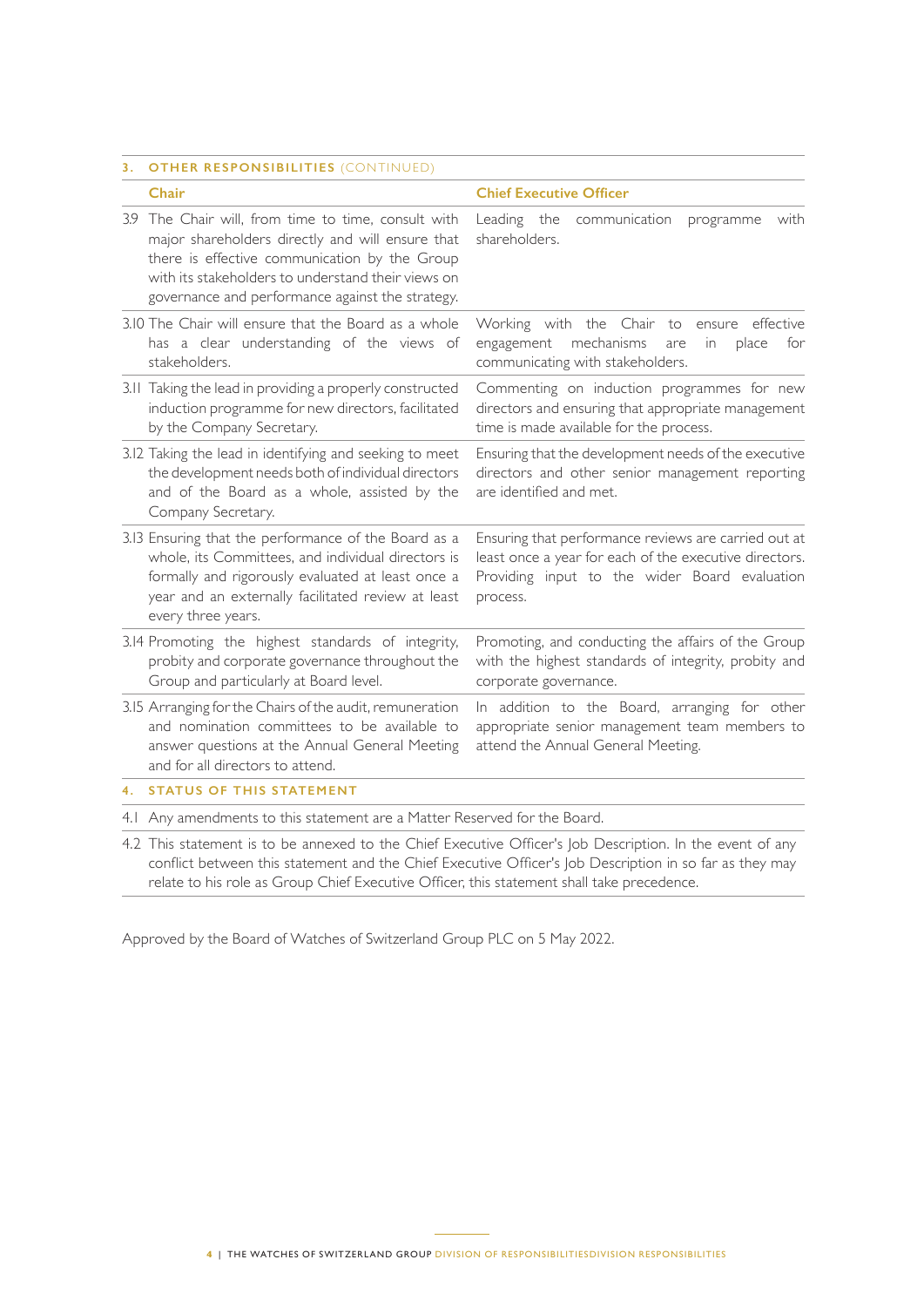### **3. OTHER RESPONSIBILITIES** (CONTINUED)

|    | Chair                                                                                                                                                                                                                                                              | <b>Chief Executive Officer</b>                                                                                                                                              |
|----|--------------------------------------------------------------------------------------------------------------------------------------------------------------------------------------------------------------------------------------------------------------------|-----------------------------------------------------------------------------------------------------------------------------------------------------------------------------|
|    | 3.9 The Chair will, from time to time, consult with<br>major shareholders directly and will ensure that<br>there is effective communication by the Group<br>with its stakeholders to understand their views on<br>governance and performance against the strategy. | Leading the<br>communication<br>with<br>programme<br>shareholders.                                                                                                          |
|    | 3.10 The Chair will ensure that the Board as a whole<br>has a clear understanding of the views of<br>stakeholders.                                                                                                                                                 | Working with the Chair to<br>effective<br>ensure<br>mechanisms<br>engagement<br>in<br>place<br>for<br>are<br>communicating with stakeholders.                               |
|    | 3.11 Taking the lead in providing a properly constructed<br>induction programme for new directors, facilitated<br>by the Company Secretary.                                                                                                                        | Commenting on induction programmes for new<br>directors and ensuring that appropriate management<br>time is made available for the process.                                 |
|    | 3.12 Taking the lead in identifying and seeking to meet<br>the development needs both of individual directors<br>and of the Board as a whole, assisted by the<br>Company Secretary.                                                                                | Ensuring that the development needs of the executive<br>directors and other senior management reporting<br>are identified and met.                                          |
|    | 3.13 Ensuring that the performance of the Board as a<br>whole, its Committees, and individual directors is<br>formally and rigorously evaluated at least once a<br>year and an externally facilitated review at least<br>every three years.                        | Ensuring that performance reviews are carried out at<br>least once a year for each of the executive directors.<br>Providing input to the wider Board evaluation<br>process. |
|    | 3.14 Promoting the highest standards of integrity,<br>probity and corporate governance throughout the<br>Group and particularly at Board level.                                                                                                                    | Promoting, and conducting the affairs of the Group<br>with the highest standards of integrity, probity and<br>corporate governance.                                         |
|    | 3.15 Arranging for the Chairs of the audit, remuneration<br>and nomination committees to be available to<br>answer questions at the Annual General Meeting<br>and for all directors to attend.                                                                     | In addition to the Board, arranging for other<br>appropriate senior management team members to<br>attend the Annual General Meeting.                                        |
| 4. | <b>STATUS OF THIS STATEMENT</b>                                                                                                                                                                                                                                    |                                                                                                                                                                             |
|    | 4.1 Any amendments to this statement are a Matter Reserved for the Board.                                                                                                                                                                                          |                                                                                                                                                                             |

4.2 This statement is to be annexed to the Chief Executive Officer's Job Description. In the event of any conflict between this statement and the Chief Executive Officer's Job Description in so far as they may relate to his role as Group Chief Executive Officer, this statement shall take precedence.

Approved by the Board of Watches of Switzerland Group PLC on 5 May 2022.